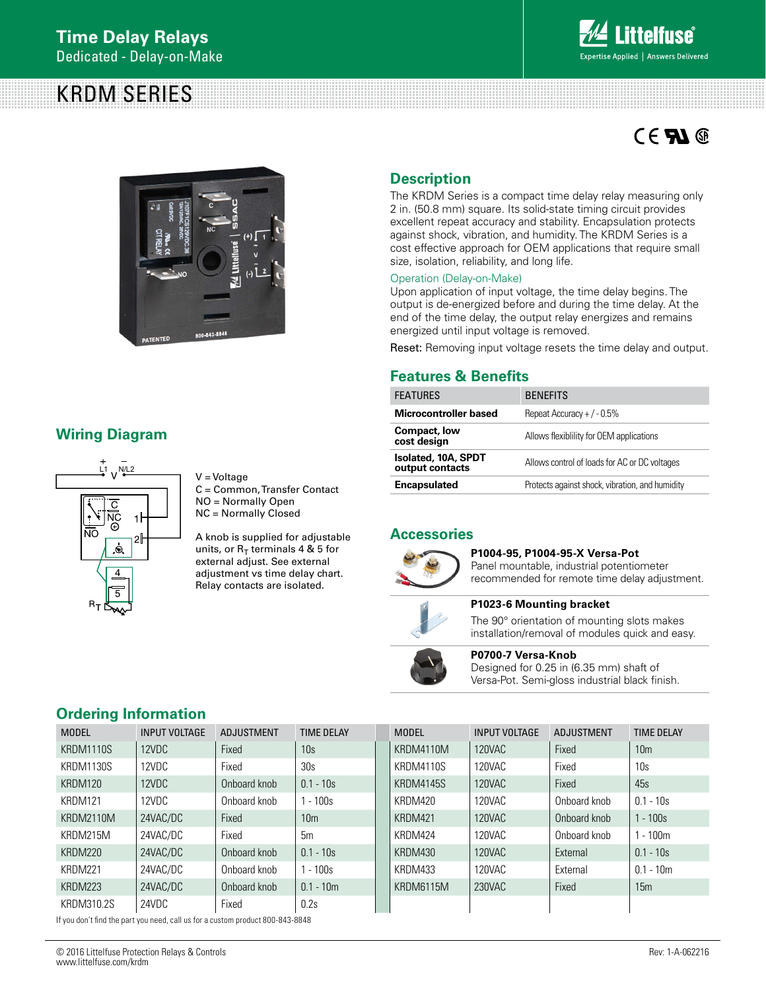# KRDM SERIES



# $CE$  **Al**  $@$



# **Wiring Diagram**



V = Voltage C = Common, Transfer Contact NO = Normally Open NC = Normally Closed

A knob is supplied for adjustable units, or  $R_T$  terminals 4 & 5 for external adjust. See external adjustment vs time delay chart. Relay contacts are isolated.

# **Description**

The KRDM Series is a compact time delay relay measuring only 2 in. (50.8 mm) square. Its solid-state timing circuit provides excellent repeat accuracy and stability. Encapsulation protects against shock, vibration, and humidity. The KRDM Series is a cost effective approach for OEM applications that require small size, isolation, reliability, and long life.

#### Operation (Delay-on-Make)

Upon application of input voltage, the time delay begins. The output is de-energized before and during the time delay. At the end of the time delay, the output relay energizes and remains energized until input voltage is removed.

Reset: Removing input voltage resets the time delay and output.

# **Features & Benefits**

| <b>FEATURES</b>                               | <b>BENEFITS</b>                                 |
|-----------------------------------------------|-------------------------------------------------|
| <b>Microcontroller based</b>                  | Repeat Accuracy + $/ -0.5\%$                    |
| Compact, low<br>cost design                   | Allows flexibility for OEM applications         |
| <b>Isolated, 10A, SPDT</b><br>output contacts | Allows control of loads for AC or DC voltages   |
| <b>Encapsulated</b>                           | Protects against shock, vibration, and humidity |

# **Accessories**



### **P1004-95, P1004-95-X Versa-Pot**

Panel mountable, industrial potentiometer recommended for remote time delay adjustment.



**P1023-6 Mounting bracket**

The 90° orientation of mounting slots makes installation/removal of modules quick and easy.

# **P0700-7 Versa-Knob**

Designed for 0.25 in (6.35 mm) shaft of Versa-Pot. Semi-gloss industrial black finish.

# **Ordering Information**

| <b>MODEL</b>     | <b>INPUT VOLTAGE</b> | <b>ADJUSTMENT</b> | <b>TIME DELAY</b> |  | <b>MODEL</b>     | <b>INPUT VOLTAGE</b> | ADJUSTMENT   | <b>TIME DELAY</b> |
|------------------|----------------------|-------------------|-------------------|--|------------------|----------------------|--------------|-------------------|
| KRDM1110S        | 12VDC                | Fixed             | 10s               |  | KRDM4110M        | 120VAC               | Fixed        | 10 <sub>m</sub>   |
| <b>KRDM1130S</b> | 12VDC                | Fixed             | 30s               |  | KRDM4110S        | 120VAC               | Fixed        | 10s               |
| KRDM120          | 12VDC                | Onboard knob      | $0.1 - 10s$       |  | <b>KRDM4145S</b> | 120VAC               | Fixed        | 45s               |
| KRDM121          | 12VDC                | Onboard knob      | $1 - 100s$        |  | KRDM420          | 120VAC               | Onboard knob | $0.1 - 10s$       |
| KRDM2110M        | 24VAC/DC             | Fixed             | 10 <sub>m</sub>   |  | KRDM421          | 120VAC               | Onboard knob | $1 - 100s$        |
| KRDM215M         | 24VAC/DC             | Fixed             | 5m                |  | KRDM424          | 120VAC               | Onboard knob | $1 - 100m$        |
| KRDM220          | 24VAC/DC             | Onboard knob      | $0.1 - 10s$       |  | KRDM430          | 120VAC               | External     | $0.1 - 10s$       |
| KRDM221          | 24VAC/DC             | Onboard knob      | $1 - 100s$        |  | KRDM433          | 120VAC               | External     | $0.1 - 10m$       |
| KRDM223          | 24VAC/DC             | Onboard knob      | $0.1 - 10m$       |  | KRDM6115M        | 230VAC               | Fixed        | 15m               |
| KRDM310.2S       | 24VDC                | Fixed             | 0.2s              |  |                  |                      |              |                   |

If you don't find the part you need, call us for a custom product 800-843-8848